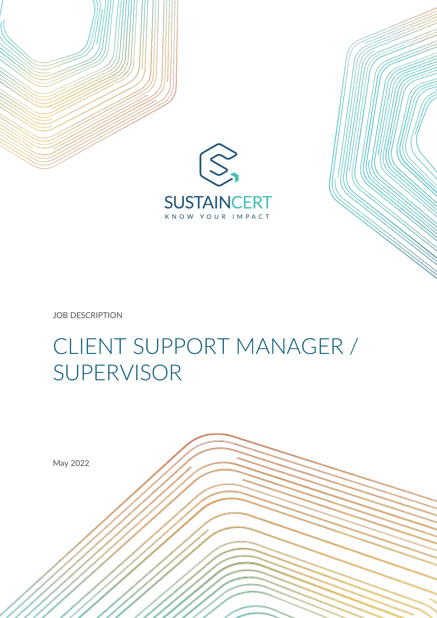

JOB DESCRIPTION

# CLIENT SUPPORT MANAGER / SUPERVISOR

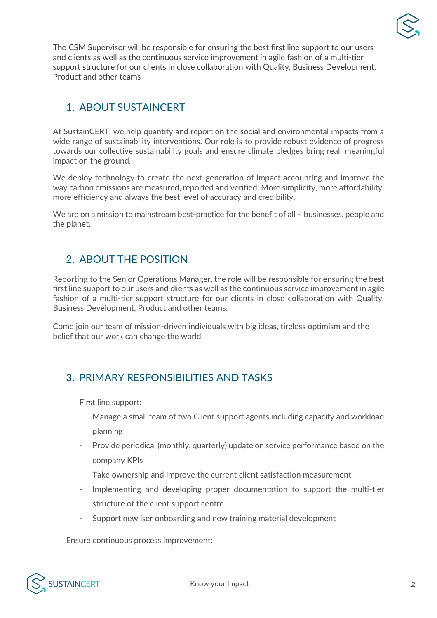

The CSM Supervisor will be responsible for ensuring the best first line support to our users and clients as well as the continuous service improvement in agile fashion of a multi-tier support structure for our clients in close collaboration with Quality, Business Development, Product and other teams

## 1. ABOUT SUSTAINCERT

At SustainCERT, we help quantify and report on the social and environmental impacts from a wide range of sustainability interventions. Our role is to provide robust evidence of progress towards our collective sustainability goals and ensure climate pledges bring real, meaningful impact on the ground.

We deploy technology to create the next-generation of impact accounting and improve the way carbon emissions are measured, reported and verified: More simplicity, more affordability, more efficiency and always the best level of accuracy and credibility.

We are on a mission to mainstream best-practice for the benefit of all – businesses, people and the planet.

### 2. ABOUT THE POSITION

Reporting to the Senior Operations Manager, the role will be responsible for ensuring the best first line support to our users and clients as well as the continuous service improvement in agile fashion of a multi-tier support structure for our clients in close collaboration with Quality, Business Development, Product and other teams.

Come join our team of mission-driven individuals with big ideas, tireless optimism and the belief that our work can change the world.

### 3. PRIMARY RESPONSIBILITIES AND TASKS

First line support:

- Manage a small team of two Client support agents including capacity and workload planning
- Provide periodical (monthly, quarterly) update on service performance based on the company KPIs
- Take ownership and improve the current client satisfaction measurement
- Implementing and developing proper documentation to support the multi-tier structure of the client support centre
- Support new iser onboarding and new training material development

Ensure continuous process improvement: